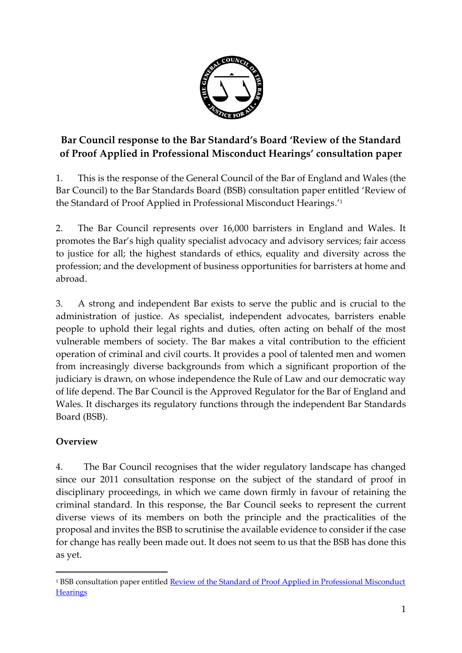

# **Bar Council response to the Bar Standard's Board 'Review of the Standard of Proof Applied in Professional Misconduct Hearings' consultation paper**

1. This is the response of the General Council of the Bar of England and Wales (the Bar Council) to the Bar Standards Board (BSB) consultation paper entitled 'Review of the Standard of Proof Applied in Professional Misconduct Hearings.' 1

2. The Bar Council represents over 16,000 barristers in England and Wales. It promotes the Bar's high quality specialist advocacy and advisory services; fair access to justice for all; the highest standards of ethics, equality and diversity across the profession; and the development of business opportunities for barristers at home and abroad.

3. A strong and independent Bar exists to serve the public and is crucial to the administration of justice. As specialist, independent advocates, barristers enable people to uphold their legal rights and duties, often acting on behalf of the most vulnerable members of society. The Bar makes a vital contribution to the efficient operation of criminal and civil courts. It provides a pool of talented men and women from increasingly diverse backgrounds from which a significant proportion of the judiciary is drawn, on whose independence the Rule of Law and our democratic way of life depend. The Bar Council is the Approved Regulator for the Bar of England and Wales. It discharges its regulatory functions through the independent Bar Standards Board (BSB).

# **Overview**

1

4. The Bar Council recognises that the wider regulatory landscape has changed since our 2011 consultation response on the subject of the standard of proof in disciplinary proceedings, in which we came down firmly in favour of retaining the criminal standard. In this response, the Bar Council seeks to represent the current diverse views of its members on both the principle and the practicalities of the proposal and invites the BSB to scrutinise the available evidence to consider if the case for change has really been made out. It does not seem to us that the BSB has done this as yet.

<sup>1</sup> BSB consultation paper entitled [Review of the Standard of Proof Applied in Professional Misconduct](https://www.barstandardsboard.org.uk/media/1830289/sop_consultation_paper.pdf)  **[Hearings](https://www.barstandardsboard.org.uk/media/1830289/sop_consultation_paper.pdf)**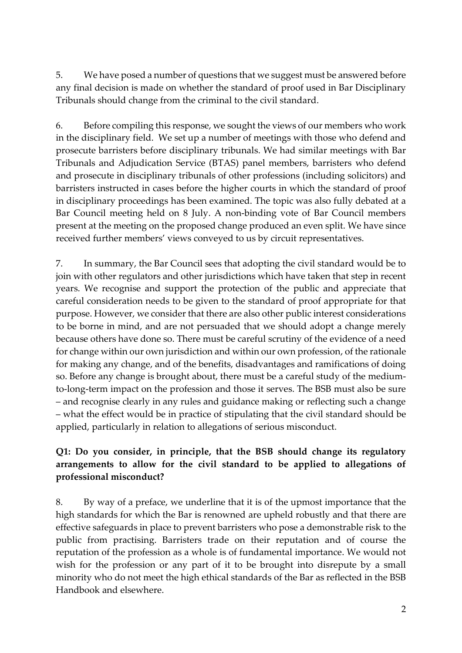5. We have posed a number of questions that we suggest must be answered before any final decision is made on whether the standard of proof used in Bar Disciplinary Tribunals should change from the criminal to the civil standard.

6. Before compiling this response, we sought the views of our members who work in the disciplinary field. We set up a number of meetings with those who defend and prosecute barristers before disciplinary tribunals. We had similar meetings with Bar Tribunals and Adjudication Service (BTAS) panel members, barristers who defend and prosecute in disciplinary tribunals of other professions (including solicitors) and barristers instructed in cases before the higher courts in which the standard of proof in disciplinary proceedings has been examined. The topic was also fully debated at a Bar Council meeting held on 8 July. A non-binding vote of Bar Council members present at the meeting on the proposed change produced an even split. We have since received further members' views conveyed to us by circuit representatives.

7. In summary, the Bar Council sees that adopting the civil standard would be to join with other regulators and other jurisdictions which have taken that step in recent years. We recognise and support the protection of the public and appreciate that careful consideration needs to be given to the standard of proof appropriate for that purpose. However, we consider that there are also other public interest considerations to be borne in mind, and are not persuaded that we should adopt a change merely because others have done so. There must be careful scrutiny of the evidence of a need for change within our own jurisdiction and within our own profession, of the rationale for making any change, and of the benefits, disadvantages and ramifications of doing so. Before any change is brought about, there must be a careful study of the mediumto-long-term impact on the profession and those it serves. The BSB must also be sure – and recognise clearly in any rules and guidance making or reflecting such a change – what the effect would be in practice of stipulating that the civil standard should be applied, particularly in relation to allegations of serious misconduct.

## **Q1: Do you consider, in principle, that the BSB should change its regulatory arrangements to allow for the civil standard to be applied to allegations of professional misconduct?**

8. By way of a preface, we underline that it is of the upmost importance that the high standards for which the Bar is renowned are upheld robustly and that there are effective safeguards in place to prevent barristers who pose a demonstrable risk to the public from practising. Barristers trade on their reputation and of course the reputation of the profession as a whole is of fundamental importance. We would not wish for the profession or any part of it to be brought into disrepute by a small minority who do not meet the high ethical standards of the Bar as reflected in the BSB Handbook and elsewhere.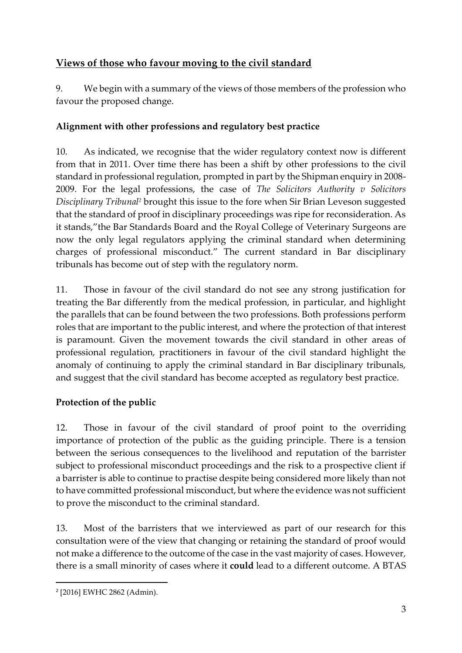# **Views of those who favour moving to the civil standard**

9. We begin with a summary of the views of those members of the profession who favour the proposed change.

## **Alignment with other professions and regulatory best practice**

10. As indicated, we recognise that the wider regulatory context now is different from that in 2011. Over time there has been a shift by other professions to the civil standard in professional regulation, prompted in part by the Shipman enquiry in 2008- 2009. For the legal professions, the case of *The Solicitors Authority v Solicitors Disciplinary Tribunal<sup>2</sup>* brought this issue to the fore when Sir Brian Leveson suggested that the standard of proof in disciplinary proceedings was ripe for reconsideration. As it stands,"the Bar Standards Board and the Royal College of Veterinary Surgeons are now the only legal regulators applying the criminal standard when determining charges of professional misconduct." The current standard in Bar disciplinary tribunals has become out of step with the regulatory norm.

11. Those in favour of the civil standard do not see any strong justification for treating the Bar differently from the medical profession, in particular, and highlight the parallels that can be found between the two professions. Both professions perform roles that are important to the public interest, and where the protection of that interest is paramount. Given the movement towards the civil standard in other areas of professional regulation, practitioners in favour of the civil standard highlight the anomaly of continuing to apply the criminal standard in Bar disciplinary tribunals, and suggest that the civil standard has become accepted as regulatory best practice.

# **Protection of the public**

12. Those in favour of the civil standard of proof point to the overriding importance of protection of the public as the guiding principle. There is a tension between the serious consequences to the livelihood and reputation of the barrister subject to professional misconduct proceedings and the risk to a prospective client if a barrister is able to continue to practise despite being considered more likely than not to have committed professional misconduct, but where the evidence was not sufficient to prove the misconduct to the criminal standard.

13. Most of the barristers that we interviewed as part of our research for this consultation were of the view that changing or retaining the standard of proof would not make a difference to the outcome of the case in the vast majority of cases. However, there is a small minority of cases where it **could** lead to a different outcome. A BTAS

 $\overline{a}$ 

<sup>2</sup> [2016] EWHC 2862 (Admin).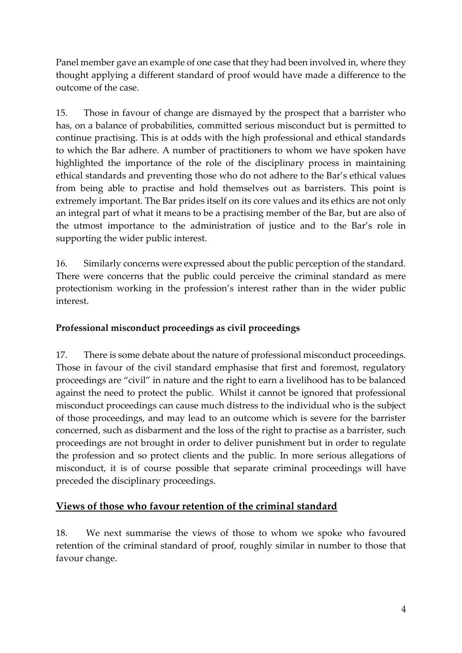Panel member gave an example of one case that they had been involved in, where they thought applying a different standard of proof would have made a difference to the outcome of the case.

15. Those in favour of change are dismayed by the prospect that a barrister who has, on a balance of probabilities, committed serious misconduct but is permitted to continue practising. This is at odds with the high professional and ethical standards to which the Bar adhere. A number of practitioners to whom we have spoken have highlighted the importance of the role of the disciplinary process in maintaining ethical standards and preventing those who do not adhere to the Bar's ethical values from being able to practise and hold themselves out as barristers. This point is extremely important. The Bar prides itself on its core values and its ethics are not only an integral part of what it means to be a practising member of the Bar, but are also of the utmost importance to the administration of justice and to the Bar's role in supporting the wider public interest.

16. Similarly concerns were expressed about the public perception of the standard. There were concerns that the public could perceive the criminal standard as mere protectionism working in the profession's interest rather than in the wider public interest.

## **Professional misconduct proceedings as civil proceedings**

17. There is some debate about the nature of professional misconduct proceedings. Those in favour of the civil standard emphasise that first and foremost, regulatory proceedings are "civil" in nature and the right to earn a livelihood has to be balanced against the need to protect the public. Whilst it cannot be ignored that professional misconduct proceedings can cause much distress to the individual who is the subject of those proceedings, and may lead to an outcome which is severe for the barrister concerned, such as disbarment and the loss of the right to practise as a barrister, such proceedings are not brought in order to deliver punishment but in order to regulate the profession and so protect clients and the public. In more serious allegations of misconduct, it is of course possible that separate criminal proceedings will have preceded the disciplinary proceedings.

# **Views of those who favour retention of the criminal standard**

18. We next summarise the views of those to whom we spoke who favoured retention of the criminal standard of proof, roughly similar in number to those that favour change.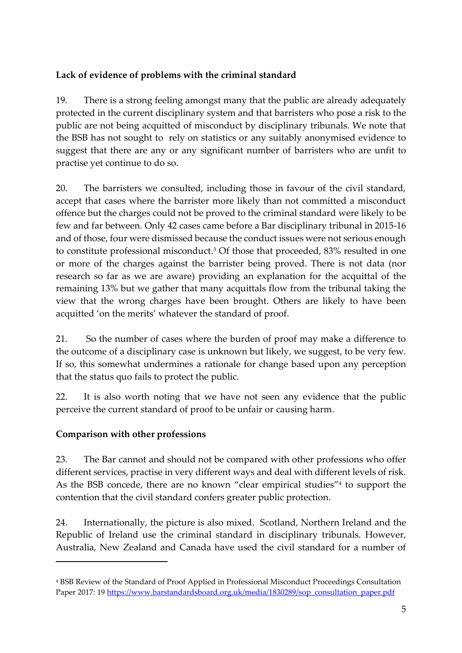## **Lack of evidence of problems with the criminal standard**

19. There is a strong feeling amongst many that the public are already adequately protected in the current disciplinary system and that barristers who pose a risk to the public are not being acquitted of misconduct by disciplinary tribunals. We note that the BSB has not sought to rely on statistics or any suitably anonymised evidence to suggest that there are any or any significant number of barristers who are unfit to practise yet continue to do so.

20. The barristers we consulted, including those in favour of the civil standard, accept that cases where the barrister more likely than not committed a misconduct offence but the charges could not be proved to the criminal standard were likely to be few and far between. Only 42 cases came before a Bar disciplinary tribunal in 2015-16 and of those, four were dismissed because the conduct issues were not serious enough to constitute professional misconduct. <sup>3</sup> Of those that proceeded, 83% resulted in one or more of the charges against the barrister being proved. There is not data (nor research so far as we are aware) providing an explanation for the acquittal of the remaining 13% but we gather that many acquittals flow from the tribunal taking the view that the wrong charges have been brought. Others are likely to have been acquitted 'on the merits' whatever the standard of proof.

21. So the number of cases where the burden of proof may make a difference to the outcome of a disciplinary case is unknown but likely, we suggest, to be very few. If so, this somewhat undermines a rationale for change based upon any perception that the status quo fails to protect the public.

22. It is also worth noting that we have not seen any evidence that the public perceive the current standard of proof to be unfair or causing harm.

# **Comparison with other professions**

 $\overline{a}$ 

23. The Bar cannot and should not be compared with other professions who offer different services, practise in very different ways and deal with different levels of risk. As the BSB concede, there are no known "clear empirical studies"<sup>4</sup> to support the contention that the civil standard confers greater public protection.

24. Internationally, the picture is also mixed. Scotland, Northern Ireland and the Republic of Ireland use the criminal standard in disciplinary tribunals. However, Australia, New Zealand and Canada have used the civil standard for a number of

<sup>4</sup> BSB Review of the Standard of Proof Applied in Professional Misconduct Proceedings Consultation Paper 2017: 19 [https://www.barstandardsboard.org.uk/media/1830289/sop\\_consultation\\_paper.pdf](https://www.barstandardsboard.org.uk/media/1830289/sop_consultation_paper.pdf)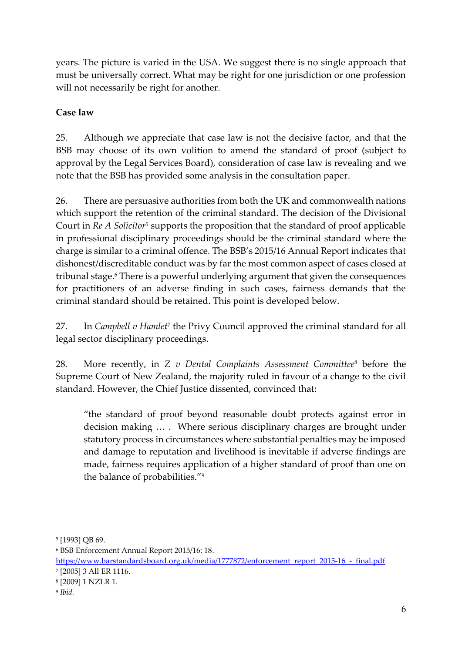years. The picture is varied in the USA. We suggest there is no single approach that must be universally correct. What may be right for one jurisdiction or one profession will not necessarily be right for another.

#### **Case law**

25. Although we appreciate that case law is not the decisive factor, and that the BSB may choose of its own volition to amend the standard of proof (subject to approval by the Legal Services Board), consideration of case law is revealing and we note that the BSB has provided some analysis in the consultation paper.

26. There are persuasive authorities from both the UK and commonwealth nations which support the retention of the criminal standard. The decision of the Divisional Court in *Re A Solicitor<sup>5</sup>* supports the proposition that the standard of proof applicable in professional disciplinary proceedings should be the criminal standard where the charge is similar to a criminal offence. The BSB's 2015/16 Annual Report indicates that dishonest/discreditable conduct was by far the most common aspect of cases closed at tribunal stage.<sup>6</sup> There is a powerful underlying argument that given the consequences for practitioners of an adverse finding in such cases, fairness demands that the criminal standard should be retained. This point is developed below.

27. In *Campbell v Hamlet<sup>7</sup>* the Privy Council approved the criminal standard for all legal sector disciplinary proceedings.

28. More recently, in *Z v Dental Complaints Assessment Committee*<sup>8</sup> before the Supreme Court of New Zealand, the majority ruled in favour of a change to the civil standard. However, the Chief Justice dissented, convinced that:

"the standard of proof beyond reasonable doubt protects against error in decision making … . Where serious disciplinary charges are brought under statutory process in circumstances where substantial penalties may be imposed and damage to reputation and livelihood is inevitable if adverse findings are made, fairness requires application of a higher standard of proof than one on the balance of probabilities."<sup>9</sup>

1

<sup>5</sup> [1993] QB 69.

<sup>6</sup> BSB Enforcement Annual Report 2015/16: 18.

[https://www.barstandardsboard.org.uk/media/1777872/enforcement\\_report\\_2015-16\\_-\\_final.pdf](https://www.barstandardsboard.org.uk/media/1777872/enforcement_report_2015-16_-_final.pdf) 7 [2005] 3 All ER 1116.

<sup>8</sup> [2009] 1 NZLR 1.

<sup>9</sup> *Ibid.*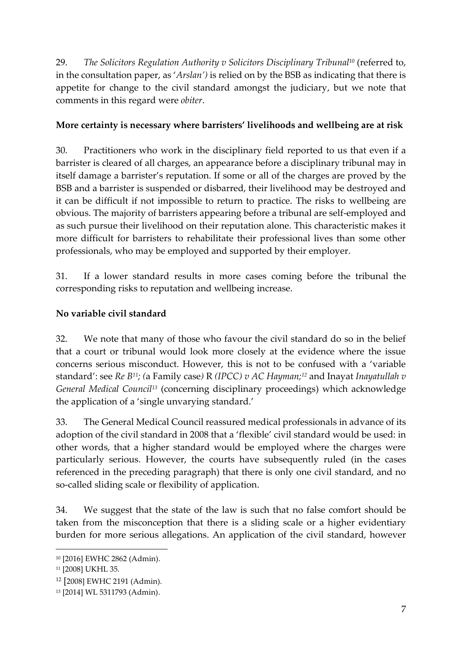29. *The Solicitors Regulation Authority v Solicitors Disciplinary Tribunal*<sup>10</sup> (referred to, in the consultation paper, as '*Arslan')* is relied on by the BSB as indicating that there is appetite for change to the civil standard amongst the judiciary, but we note that comments in this regard were *obiter*.

## **More certainty is necessary where barristers' livelihoods and wellbeing are at risk**

30. Practitioners who work in the disciplinary field reported to us that even if a barrister is cleared of all charges, an appearance before a disciplinary tribunal may in itself damage a barrister's reputation. If some or all of the charges are proved by the BSB and a barrister is suspended or disbarred, their livelihood may be destroyed and it can be difficult if not impossible to return to practice. The risks to wellbeing are obvious. The majority of barristers appearing before a tribunal are self-employed and as such pursue their livelihood on their reputation alone. This characteristic makes it more difficult for barristers to rehabilitate their professional lives than some other professionals, who may be employed and supported by their employer.

31. If a lower standard results in more cases coming before the tribunal the corresponding risks to reputation and wellbeing increase.

# **No variable civil standard**

32. We note that many of those who favour the civil standard do so in the belief that a court or tribunal would look more closely at the evidence where the issue concerns serious misconduct. However, this is not to be confused with a 'variable standard': see *Re B11; (*a Family case*)* R *(IPCC) v AC Hayman; <sup>12</sup>* and Inayat *Inayatullah v General Medical Council<sup>13</sup>* (concerning disciplinary proceedings) which acknowledge the application of a 'single unvarying standard.'

33. The General Medical Council reassured medical professionals in advance of its adoption of the civil standard in 2008 that a 'flexible' civil standard would be used: in other words, that a higher standard would be employed where the charges were particularly serious. However, the courts have subsequently ruled (in the cases referenced in the preceding paragraph) that there is only one civil standard, and no so-called sliding scale or flexibility of application.

34. We suggest that the state of the law is such that no false comfort should be taken from the misconception that there is a sliding scale or a higher evidentiary burden for more serious allegations. An application of the civil standard, however

1

<sup>10</sup> [2016] EWHC 2862 (Admin).

<sup>11</sup> [2008] UKHL 35.

<sup>12</sup> [2008] EWHC 2191 (Admin).

<sup>13</sup> [2014] WL 5311793 (Admin).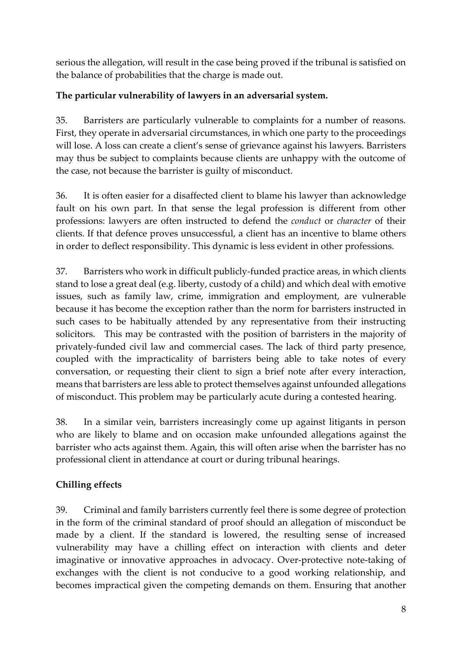serious the allegation, will result in the case being proved if the tribunal is satisfied on the balance of probabilities that the charge is made out.

## **The particular vulnerability of lawyers in an adversarial system.**

35. Barristers are particularly vulnerable to complaints for a number of reasons. First, they operate in adversarial circumstances, in which one party to the proceedings will lose. A loss can create a client's sense of grievance against his lawyers. Barristers may thus be subject to complaints because clients are unhappy with the outcome of the case, not because the barrister is guilty of misconduct.

36. It is often easier for a disaffected client to blame his lawyer than acknowledge fault on his own part. In that sense the legal profession is different from other professions: lawyers are often instructed to defend the *conduct* or *character* of their clients. If that defence proves unsuccessful, a client has an incentive to blame others in order to deflect responsibility. This dynamic is less evident in other professions.

37. Barristers who work in difficult publicly-funded practice areas, in which clients stand to lose a great deal (e.g. liberty, custody of a child) and which deal with emotive issues, such as family law, crime, immigration and employment, are vulnerable because it has become the exception rather than the norm for barristers instructed in such cases to be habitually attended by any representative from their instructing solicitors. This may be contrasted with the position of barristers in the majority of privately-funded civil law and commercial cases. The lack of third party presence, coupled with the impracticality of barristers being able to take notes of every conversation, or requesting their client to sign a brief note after every interaction, means that barristers are less able to protect themselves against unfounded allegations of misconduct. This problem may be particularly acute during a contested hearing.

38. In a similar vein, barristers increasingly come up against litigants in person who are likely to blame and on occasion make unfounded allegations against the barrister who acts against them. Again, this will often arise when the barrister has no professional client in attendance at court or during tribunal hearings.

# **Chilling effects**

39. Criminal and family barristers currently feel there is some degree of protection in the form of the criminal standard of proof should an allegation of misconduct be made by a client. If the standard is lowered, the resulting sense of increased vulnerability may have a chilling effect on interaction with clients and deter imaginative or innovative approaches in advocacy. Over-protective note-taking of exchanges with the client is not conducive to a good working relationship, and becomes impractical given the competing demands on them. Ensuring that another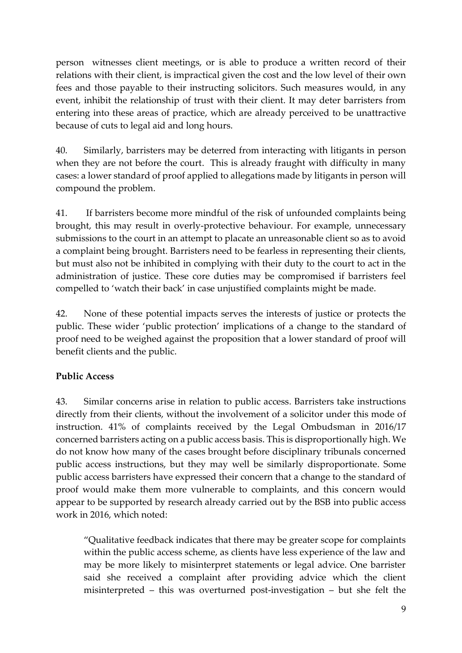person witnesses client meetings, or is able to produce a written record of their relations with their client, is impractical given the cost and the low level of their own fees and those payable to their instructing solicitors. Such measures would, in any event, inhibit the relationship of trust with their client. It may deter barristers from entering into these areas of practice, which are already perceived to be unattractive because of cuts to legal aid and long hours.

40. Similarly, barristers may be deterred from interacting with litigants in person when they are not before the court. This is already fraught with difficulty in many cases: a lower standard of proof applied to allegations made by litigants in person will compound the problem.

41. If barristers become more mindful of the risk of unfounded complaints being brought, this may result in overly-protective behaviour. For example, unnecessary submissions to the court in an attempt to placate an unreasonable client so as to avoid a complaint being brought. Barristers need to be fearless in representing their clients, but must also not be inhibited in complying with their duty to the court to act in the administration of justice. These core duties may be compromised if barristers feel compelled to 'watch their back' in case unjustified complaints might be made.

42. None of these potential impacts serves the interests of justice or protects the public. These wider 'public protection' implications of a change to the standard of proof need to be weighed against the proposition that a lower standard of proof will benefit clients and the public.

#### **Public Access**

43. Similar concerns arise in relation to public access. Barristers take instructions directly from their clients, without the involvement of a solicitor under this mode of instruction. 41% of complaints received by the Legal Ombudsman in 2016/17 concerned barristers acting on a public access basis. This is disproportionally high. We do not know how many of the cases brought before disciplinary tribunals concerned public access instructions, but they may well be similarly disproportionate. Some public access barristers have expressed their concern that a change to the standard of proof would make them more vulnerable to complaints, and this concern would appear to be supported by research already carried out by the BSB into public access work in 2016, which noted:

"Qualitative feedback indicates that there may be greater scope for complaints within the public access scheme, as clients have less experience of the law and may be more likely to misinterpret statements or legal advice. One barrister said she received a complaint after providing advice which the client misinterpreted – this was overturned post-investigation – but she felt the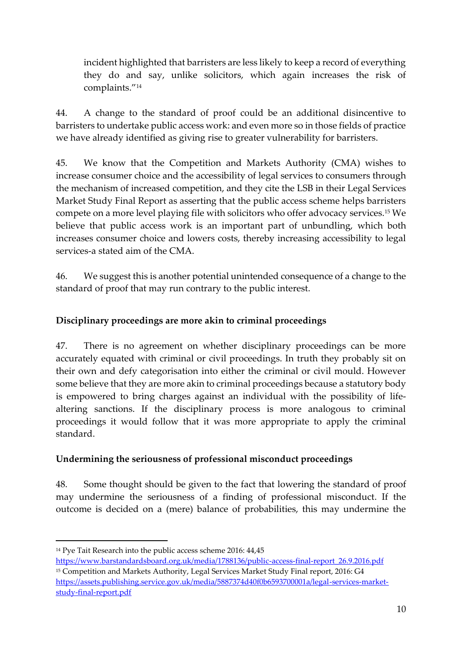incident highlighted that barristers are less likely to keep a record of everything they do and say, unlike solicitors, which again increases the risk of complaints."<sup>14</sup>

44. A change to the standard of proof could be an additional disincentive to barristers to undertake public access work: and even more so in those fields of practice we have already identified as giving rise to greater vulnerability for barristers.

45. We know that the Competition and Markets Authority (CMA) wishes to increase consumer choice and the accessibility of legal services to consumers through the mechanism of increased competition, and they cite the LSB in their Legal Services Market Study Final Report as asserting that the public access scheme helps barristers compete on a more level playing file with solicitors who offer advocacy services.<sup>15</sup> We believe that public access work is an important part of unbundling, which both increases consumer choice and lowers costs, thereby increasing accessibility to legal services-a stated aim of the CMA.

46. We suggest this is another potential unintended consequence of a change to the standard of proof that may run contrary to the public interest.

#### **Disciplinary proceedings are more akin to criminal proceedings**

47. There is no agreement on whether disciplinary proceedings can be more accurately equated with criminal or civil proceedings. In truth they probably sit on their own and defy categorisation into either the criminal or civil mould. However some believe that they are more akin to criminal proceedings because a statutory body is empowered to bring charges against an individual with the possibility of lifealtering sanctions. If the disciplinary process is more analogous to criminal proceedings it would follow that it was more appropriate to apply the criminal standard.

#### **Undermining the seriousness of professional misconduct proceedings**

48. Some thought should be given to the fact that lowering the standard of proof may undermine the seriousness of a finding of professional misconduct. If the outcome is decided on a (mere) balance of probabilities, this may undermine the

 $\overline{a}$ 

<sup>14</sup> Pye Tait Research into the public access scheme 2016: 44,45

[https://www.barstandardsboard.org.uk/media/1788136/public-access-final-report\\_26.9.2016.pdf](https://www.barstandardsboard.org.uk/media/1788136/public-access-final-report_26.9.2016.pdf) <sup>15</sup> Competition and Markets Authority, Legal Services Market Study Final report, 2016: G4 [https://assets.publishing.service.gov.uk/media/5887374d40f0b6593700001a/legal-services-market](https://assets.publishing.service.gov.uk/media/5887374d40f0b6593700001a/legal-services-market-study-final-report.pdf)[study-final-report.pdf](https://assets.publishing.service.gov.uk/media/5887374d40f0b6593700001a/legal-services-market-study-final-report.pdf)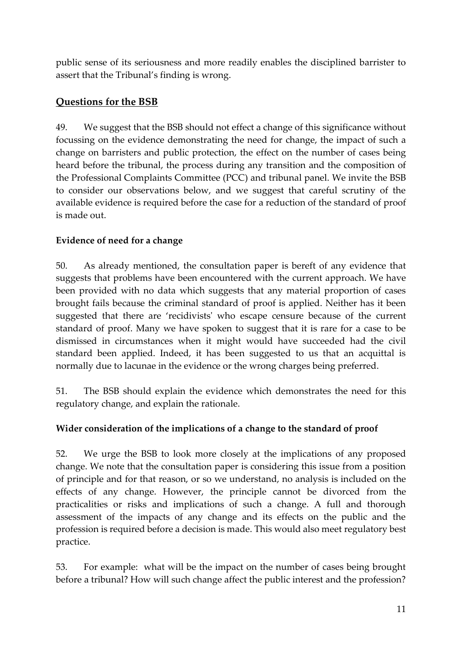public sense of its seriousness and more readily enables the disciplined barrister to assert that the Tribunal's finding is wrong.

## **Questions for the BSB**

49. We suggest that the BSB should not effect a change of this significance without focussing on the evidence demonstrating the need for change, the impact of such a change on barristers and public protection, the effect on the number of cases being heard before the tribunal, the process during any transition and the composition of the Professional Complaints Committee (PCC) and tribunal panel. We invite the BSB to consider our observations below, and we suggest that careful scrutiny of the available evidence is required before the case for a reduction of the standard of proof is made out.

#### **Evidence of need for a change**

50. As already mentioned, the consultation paper is bereft of any evidence that suggests that problems have been encountered with the current approach. We have been provided with no data which suggests that any material proportion of cases brought fails because the criminal standard of proof is applied. Neither has it been suggested that there are 'recidivists' who escape censure because of the current standard of proof. Many we have spoken to suggest that it is rare for a case to be dismissed in circumstances when it might would have succeeded had the civil standard been applied. Indeed, it has been suggested to us that an acquittal is normally due to lacunae in the evidence or the wrong charges being preferred.

51. The BSB should explain the evidence which demonstrates the need for this regulatory change, and explain the rationale.

#### **Wider consideration of the implications of a change to the standard of proof**

52. We urge the BSB to look more closely at the implications of any proposed change. We note that the consultation paper is considering this issue from a position of principle and for that reason, or so we understand, no analysis is included on the effects of any change. However, the principle cannot be divorced from the practicalities or risks and implications of such a change. A full and thorough assessment of the impacts of any change and its effects on the public and the profession is required before a decision is made. This would also meet regulatory best practice.

53. For example: what will be the impact on the number of cases being brought before a tribunal? How will such change affect the public interest and the profession?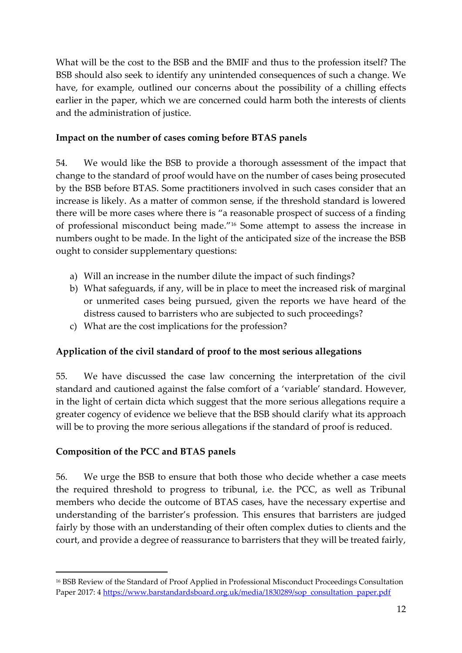What will be the cost to the BSB and the BMIF and thus to the profession itself? The BSB should also seek to identify any unintended consequences of such a change. We have, for example, outlined our concerns about the possibility of a chilling effects earlier in the paper, which we are concerned could harm both the interests of clients and the administration of justice.

#### **Impact on the number of cases coming before BTAS panels**

54. We would like the BSB to provide a thorough assessment of the impact that change to the standard of proof would have on the number of cases being prosecuted by the BSB before BTAS. Some practitioners involved in such cases consider that an increase is likely. As a matter of common sense, if the threshold standard is lowered there will be more cases where there is "a reasonable prospect of success of a finding of professional misconduct being made." <sup>16</sup> Some attempt to assess the increase in numbers ought to be made. In the light of the anticipated size of the increase the BSB ought to consider supplementary questions:

- a) Will an increase in the number dilute the impact of such findings?
- b) What safeguards, if any, will be in place to meet the increased risk of marginal or unmerited cases being pursued, given the reports we have heard of the distress caused to barristers who are subjected to such proceedings?
- c) What are the cost implications for the profession?

#### **Application of the civil standard of proof to the most serious allegations**

55. We have discussed the case law concerning the interpretation of the civil standard and cautioned against the false comfort of a 'variable' standard. However, in the light of certain dicta which suggest that the more serious allegations require a greater cogency of evidence we believe that the BSB should clarify what its approach will be to proving the more serious allegations if the standard of proof is reduced.

#### **Composition of the PCC and BTAS panels**

1

56. We urge the BSB to ensure that both those who decide whether a case meets the required threshold to progress to tribunal, i.e. the PCC, as well as Tribunal members who decide the outcome of BTAS cases, have the necessary expertise and understanding of the barrister's profession. This ensures that barristers are judged fairly by those with an understanding of their often complex duties to clients and the court, and provide a degree of reassurance to barristers that they will be treated fairly,

<sup>16</sup> BSB Review of the Standard of Proof Applied in Professional Misconduct Proceedings Consultation Paper 2017: 4 [https://www.barstandardsboard.org.uk/media/1830289/sop\\_consultation\\_paper.pdf](https://www.barstandardsboard.org.uk/media/1830289/sop_consultation_paper.pdf)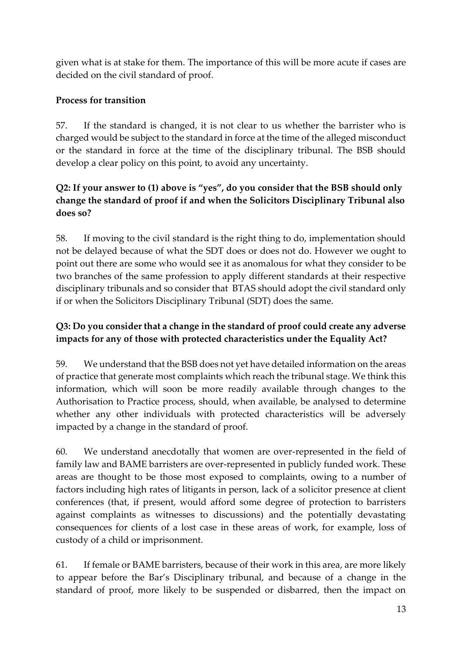given what is at stake for them. The importance of this will be more acute if cases are decided on the civil standard of proof.

## **Process for transition**

57. If the standard is changed, it is not clear to us whether the barrister who is charged would be subject to the standard in force at the time of the alleged misconduct or the standard in force at the time of the disciplinary tribunal. The BSB should develop a clear policy on this point, to avoid any uncertainty.

## **Q2: If your answer to (1) above is "yes", do you consider that the BSB should only change the standard of proof if and when the Solicitors Disciplinary Tribunal also does so?**

58. If moving to the civil standard is the right thing to do, implementation should not be delayed because of what the SDT does or does not do. However we ought to point out there are some who would see it as anomalous for what they consider to be two branches of the same profession to apply different standards at their respective disciplinary tribunals and so consider that BTAS should adopt the civil standard only if or when the Solicitors Disciplinary Tribunal (SDT) does the same.

## **Q3: Do you consider that a change in the standard of proof could create any adverse impacts for any of those with protected characteristics under the Equality Act?**

59. We understand that the BSB does not yet have detailed information on the areas of practice that generate most complaints which reach the tribunal stage. We think this information, which will soon be more readily available through changes to the Authorisation to Practice process, should, when available, be analysed to determine whether any other individuals with protected characteristics will be adversely impacted by a change in the standard of proof.

60. We understand anecdotally that women are over-represented in the field of family law and BAME barristers are over-represented in publicly funded work. These areas are thought to be those most exposed to complaints, owing to a number of factors including high rates of litigants in person, lack of a solicitor presence at client conferences (that, if present, would afford some degree of protection to barristers against complaints as witnesses to discussions) and the potentially devastating consequences for clients of a lost case in these areas of work, for example, loss of custody of a child or imprisonment.

61. If female or BAME barristers, because of their work in this area, are more likely to appear before the Bar's Disciplinary tribunal, and because of a change in the standard of proof, more likely to be suspended or disbarred, then the impact on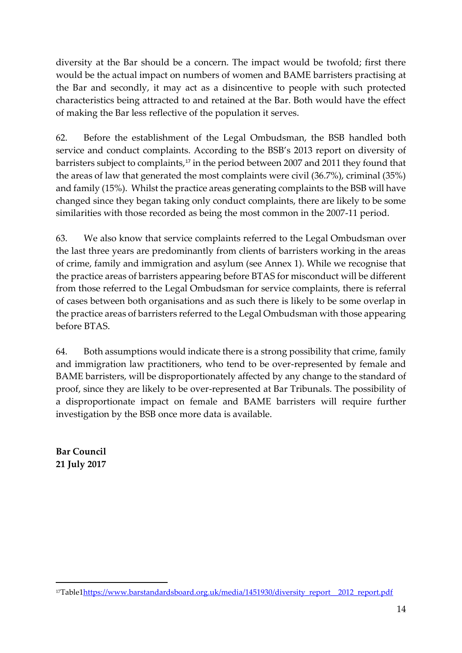diversity at the Bar should be a concern. The impact would be twofold; first there would be the actual impact on numbers of women and BAME barristers practising at the Bar and secondly, it may act as a disincentive to people with such protected characteristics being attracted to and retained at the Bar. Both would have the effect of making the Bar less reflective of the population it serves.

62. Before the establishment of the Legal Ombudsman, the BSB handled both service and conduct complaints. According to the BSB's 2013 report on diversity of barristers subject to complaints, <sup>17</sup> in the period between 2007 and 2011 they found that the areas of law that generated the most complaints were civil (36.7%), criminal (35%) and family (15%). Whilst the practice areas generating complaints to the BSB will have changed since they began taking only conduct complaints, there are likely to be some similarities with those recorded as being the most common in the 2007-11 period.

63. We also know that service complaints referred to the Legal Ombudsman over the last three years are predominantly from clients of barristers working in the areas of crime, family and immigration and asylum (see Annex 1). While we recognise that the practice areas of barristers appearing before BTAS for misconduct will be different from those referred to the Legal Ombudsman for service complaints, there is referral of cases between both organisations and as such there is likely to be some overlap in the practice areas of barristers referred to the Legal Ombudsman with those appearing before BTAS.

64. Both assumptions would indicate there is a strong possibility that crime, family and immigration law practitioners, who tend to be over-represented by female and BAME barristers, will be disproportionately affected by any change to the standard of proof, since they are likely to be over-represented at Bar Tribunals. The possibility of a disproportionate impact on female and BAME barristers will require further investigation by the BSB once more data is available.

**Bar Council 21 July 2017**

 $\overline{a}$ 

<sup>&</sup>lt;sup>17</sup>Table1https://www.barstandardsboard.org.uk/media/1451930/diversity\_report\_2012\_report.pdf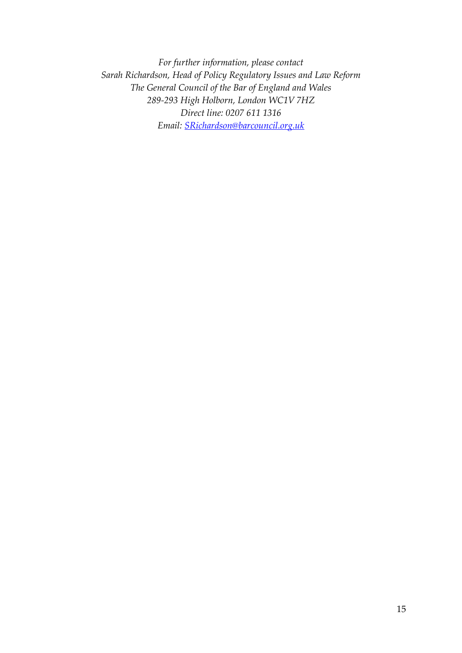*For further information, please contact Sarah Richardson, Head of Policy Regulatory Issues and Law Reform The General Council of the Bar of England and Wales 289-293 High Holborn, London WC1V 7HZ Direct line: 0207 611 1316 Email: [SRichardson@barcouncil.org.uk](mailto:srichardson@barcouncil.org.uk?subject=Burden%20of%20Proof%20consultation%20)*